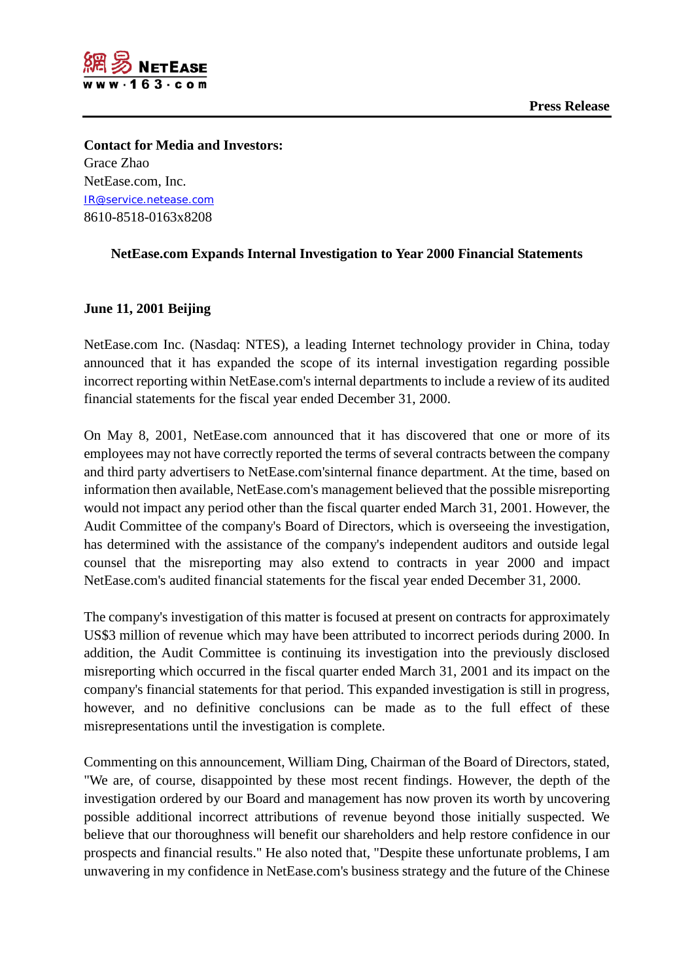

**Contact for Media and Investors:** Grace Zhao NetEase.com, Inc. [IR@service.netease.com](mailto:IR@service.netease.com) 8610-8518-0163x8208

## **NetEase.com Expands Internal Investigation to Year 2000 Financial Statements**

## **June 11, 2001 Beijing**

NetEase.com Inc. (Nasdaq: NTES), a leading Internet technology provider in China, today announced that it has expanded the scope of its internal investigation regarding possible incorrect reporting within NetEase.com's internal departments to include a review of its audited financial statements for the fiscal year ended December 31, 2000.

On May 8, 2001, NetEase.com announced that it has discovered that one or more of its employees may not have correctly reported the terms of several contracts between the company and third party advertisers to NetEase.com'sinternal finance department. At the time, based on information then available, NetEase.com's management believed that the possible misreporting would not impact any period other than the fiscal quarter ended March 31, 2001. However, the Audit Committee of the company's Board of Directors, which is overseeing the investigation, has determined with the assistance of the company's independent auditors and outside legal counsel that the misreporting may also extend to contracts in year 2000 and impact NetEase.com's audited financial statements for the fiscal year ended December 31, 2000.

The company's investigation of this matter is focused at present on contracts for approximately US\$3 million of revenue which may have been attributed to incorrect periods during 2000. In addition, the Audit Committee is continuing its investigation into the previously disclosed misreporting which occurred in the fiscal quarter ended March 31, 2001 and its impact on the company's financial statements for that period. This expanded investigation is still in progress, however, and no definitive conclusions can be made as to the full effect of these misrepresentations until the investigation is complete.

Commenting on this announcement, William Ding, Chairman of the Board of Directors, stated, "We are, of course, disappointed by these most recent findings. However, the depth of the investigation ordered by our Board and management has now proven its worth by uncovering possible additional incorrect attributions of revenue beyond those initially suspected. We believe that our thoroughness will benefit our shareholders and help restore confidence in our prospects and financial results." He also noted that, "Despite these unfortunate problems, I am unwavering in my confidence in NetEase.com's business strategy and the future of the Chinese